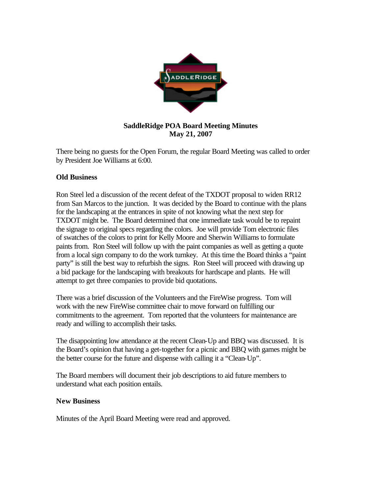

## **SaddleRidge POA Board Meeting Minutes May 21, 2007**

There being no guests for the Open Forum, the regular Board Meeting was called to order by President Joe Williams at 6:00.

## **Old Business**

Ron Steel led a discussion of the recent defeat of the TXDOT proposal to widen RR12 from San Marcos to the junction. It was decided by the Board to continue with the plans for the landscaping at the entrances in spite of not knowing what the next step for TXDOT might be. The Board determined that one immediate task would be to repaint the signage to original specs regarding the colors. Joe will provide Tom electronic files of swatches of the colors to print for Kelly Moore and Sherwin Williams to formulate paints from. Ron Steel will follow up with the paint companies as well as getting a quote from a local sign company to do the work turnkey. At this time the Board thinks a "paint party" is still the best way to refurbish the signs. Ron Steel will proceed with drawing up a bid package for the landscaping with breakouts for hardscape and plants. He will attempt to get three companies to provide bid quotations.

There was a brief discussion of the Volunteers and the FireWise progress. Tom will work with the new FireWise committee chair to move forward on fulfilling our commitments to the agreement. Tom reported that the volunteers for maintenance are ready and willing to accomplish their tasks.

The disappointing low attendance at the recent Clean-Up and BBQ was discussed. It is the Board's opinion that having a get-together for a picnic and BBQ with games might be the better course for the future and dispense with calling it a "Clean-Up".

The Board members will document their job descriptions to aid future members to understand what each position entails.

## **New Business**

Minutes of the April Board Meeting were read and approved.